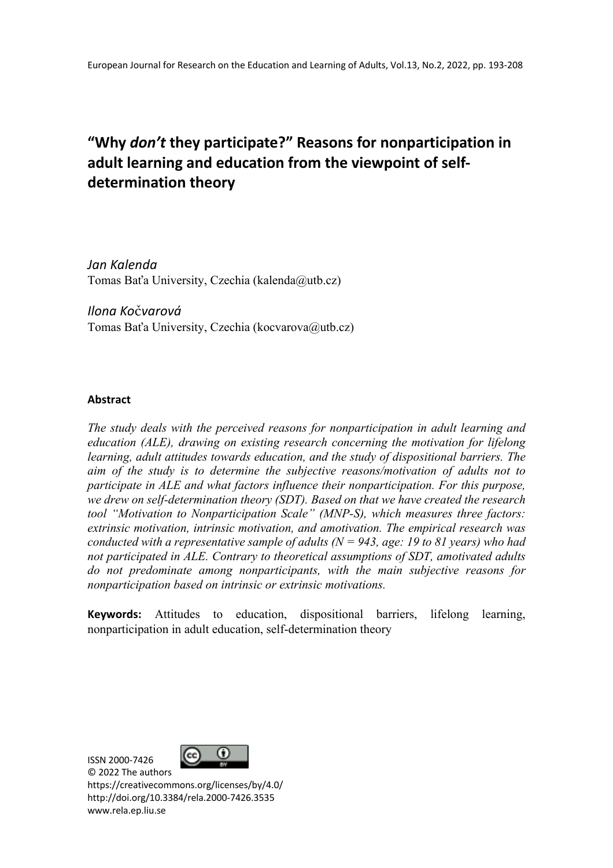# **"Why** *don't* **they participate?" Reasons for nonparticipation in adult learning and education from the viewpoint of selfdetermination theory**

*Jan Kalenda* Tomas Baťa University, Czechia (kalenda@utb.cz)

*Ilona Ko*č*varová* Tomas Baťa University, Czechia (kocvarova@utb.cz)

## **Abstract**

*The study deals with the perceived reasons for nonparticipation in adult learning and education (ALE), drawing on existing research concerning the motivation for lifelong learning, adult attitudes towards education, and the study of dispositional barriers. The aim of the study is to determine the subjective reasons/motivation of adults not to participate in ALE and what factors influence their nonparticipation. For this purpose, we drew on self-determination theory (SDT). Based on that we have created the research tool "Motivation to Nonparticipation Scale" (MNP-S), which measures three factors: extrinsic motivation, intrinsic motivation, and amotivation. The empirical research was conducted with a representative sample of adults (N = 943, age: 19 to 81 years) who had not participated in ALE. Contrary to theoretical assumptions of SDT, amotivated adults do not predominate among nonparticipants, with the main subjective reasons for nonparticipation based on intrinsic or extrinsic motivations.*

**Keywords:** Attitudes to education, dispositional barriers, lifelong learning, nonparticipation in adult education, self-determination theory

ISSN 2000-7426



© 2022 The authors https://creativecommons.org/licenses/by/4.0/ http://doi.org/10.3384/rela.2000-7426.3535 www.rela.ep.liu.se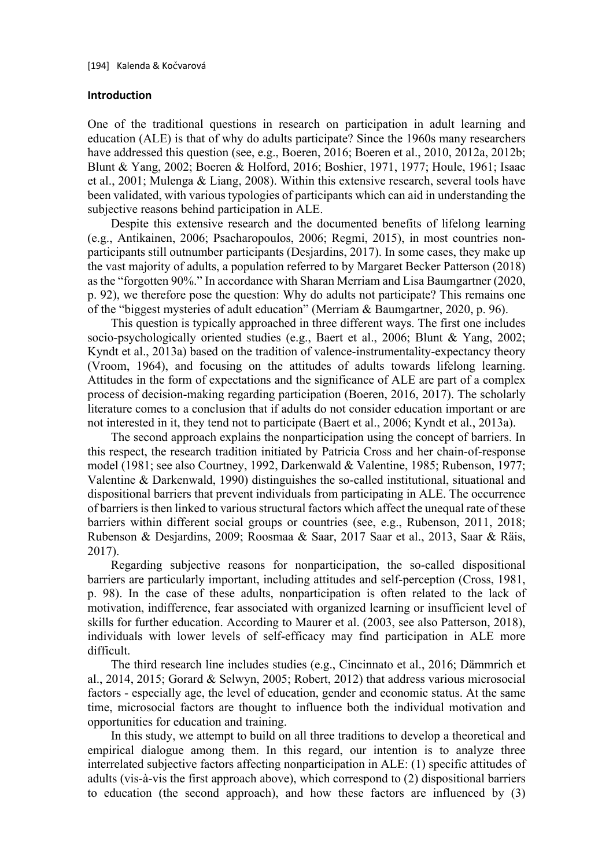## **Introduction**

One of the traditional questions in research on participation in adult learning and education (ALE) is that of why do adults participate? Since the 1960s many researchers have addressed this question (see, e.g., Boeren, 2016; Boeren et al., 2010, 2012a, 2012b; Blunt & Yang, 2002; Boeren & Holford, 2016; Boshier, 1971, 1977; Houle, 1961; Isaac et al., 2001; Mulenga & Liang, 2008). Within this extensive research, several tools have been validated, with various typologies of participants which can aid in understanding the subjective reasons behind participation in ALE.

Despite this extensive research and the documented benefits of lifelong learning (e.g., Antikainen, 2006; Psacharopoulos, 2006; Regmi, 2015), in most countries nonparticipants still outnumber participants (Desjardins, 2017). In some cases, they make up the vast majority of adults, a population referred to by Margaret Becker Patterson (2018) as the "forgotten 90%." In accordance with Sharan Merriam and Lisa Baumgartner (2020, p. 92), we therefore pose the question: Why do adults not participate? This remains one of the "biggest mysteries of adult education" (Merriam & Baumgartner, 2020, p. 96).

This question is typically approached in three different ways. The first one includes socio-psychologically oriented studies (e.g., Baert et al., 2006; Blunt & Yang, 2002; Kyndt et al., 2013a) based on the tradition of valence-instrumentality-expectancy theory (Vroom, 1964), and focusing on the attitudes of adults towards lifelong learning. Attitudes in the form of expectations and the significance of ALE are part of a complex process of decision-making regarding participation (Boeren, 2016, 2017). The scholarly literature comes to a conclusion that if adults do not consider education important or are not interested in it, they tend not to participate (Baert et al., 2006; Kyndt et al., 2013a).

The second approach explains the nonparticipation using the concept of barriers. In this respect, the research tradition initiated by Patricia Cross and her chain-of-response model (1981; see also Courtney, 1992, Darkenwald & Valentine, 1985; Rubenson, 1977; Valentine & Darkenwald, 1990) distinguishes the so-called institutional, situational and dispositional barriers that prevent individuals from participating in ALE. The occurrence of barriers is then linked to various structural factors which affect the unequal rate of these barriers within different social groups or countries (see, e.g., Rubenson, 2011, 2018; Rubenson & Desjardins, 2009; Roosmaa & Saar, 2017 Saar et al., 2013, Saar & Räis, 2017).

Regarding subjective reasons for nonparticipation, the so-called dispositional barriers are particularly important, including attitudes and self-perception (Cross, 1981, p. 98). In the case of these adults, nonparticipation is often related to the lack of motivation, indifference, fear associated with organized learning or insufficient level of skills for further education. According to Maurer et al. (2003, see also Patterson, 2018), individuals with lower levels of self-efficacy may find participation in ALE more difficult.

The third research line includes studies (e.g., Cincinnato et al., 2016; Dämmrich et al., 2014, 2015; Gorard & Selwyn, 2005; Robert, 2012) that address various microsocial factors - especially age, the level of education, gender and economic status. At the same time, microsocial factors are thought to influence both the individual motivation and opportunities for education and training.

In this study, we attempt to build on all three traditions to develop a theoretical and empirical dialogue among them. In this regard, our intention is to analyze three interrelated subjective factors affecting nonparticipation in ALE: (1) specific attitudes of adults (vis-à-vis the first approach above), which correspond to (2) dispositional barriers to education (the second approach), and how these factors are influenced by (3)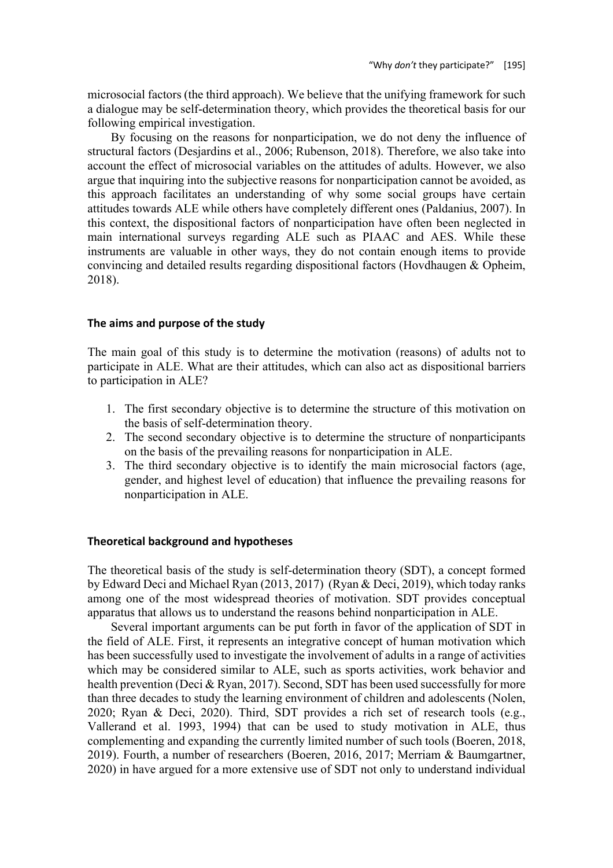microsocial factors (the third approach). We believe that the unifying framework for such a dialogue may be self-determination theory, which provides the theoretical basis for our following empirical investigation.

By focusing on the reasons for nonparticipation, we do not deny the influence of structural factors (Desjardins et al., 2006; Rubenson, 2018). Therefore, we also take into account the effect of microsocial variables on the attitudes of adults. However, we also argue that inquiring into the subjective reasons for nonparticipation cannot be avoided, as this approach facilitates an understanding of why some social groups have certain attitudes towards ALE while others have completely different ones (Paldanius, 2007). In this context, the dispositional factors of nonparticipation have often been neglected in main international surveys regarding ALE such as PIAAC and AES. While these instruments are valuable in other ways, they do not contain enough items to provide convincing and detailed results regarding dispositional factors (Hovdhaugen & Opheim, 2018).

## **The aims and purpose of the study**

The main goal of this study is to determine the motivation (reasons) of adults not to participate in ALE. What are their attitudes, which can also act as dispositional barriers to participation in ALE?

- 1. The first secondary objective is to determine the structure of this motivation on the basis of self-determination theory.
- 2. The second secondary objective is to determine the structure of nonparticipants on the basis of the prevailing reasons for nonparticipation in ALE.
- 3. The third secondary objective is to identify the main microsocial factors (age, gender, and highest level of education) that influence the prevailing reasons for nonparticipation in ALE.

## **Theoretical background and hypotheses**

The theoretical basis of the study is self-determination theory (SDT), a concept formed by Edward Deci and Michael Ryan (2013, 2017) (Ryan & Deci, 2019), which today ranks among one of the most widespread theories of motivation. SDT provides conceptual apparatus that allows us to understand the reasons behind nonparticipation in ALE.

Several important arguments can be put forth in favor of the application of SDT in the field of ALE. First, it represents an integrative concept of human motivation which has been successfully used to investigate the involvement of adults in a range of activities which may be considered similar to ALE, such as sports activities, work behavior and health prevention (Deci & Ryan, 2017). Second, SDT has been used successfully for more than three decades to study the learning environment of children and adolescents (Nolen, 2020; Ryan & Deci, 2020). Third, SDT provides a rich set of research tools (e.g., Vallerand et al. 1993, 1994) that can be used to study motivation in ALE, thus complementing and expanding the currently limited number of such tools (Boeren, 2018, 2019). Fourth, a number of researchers (Boeren, 2016, 2017; Merriam & Baumgartner, 2020) in have argued for a more extensive use of SDT not only to understand individual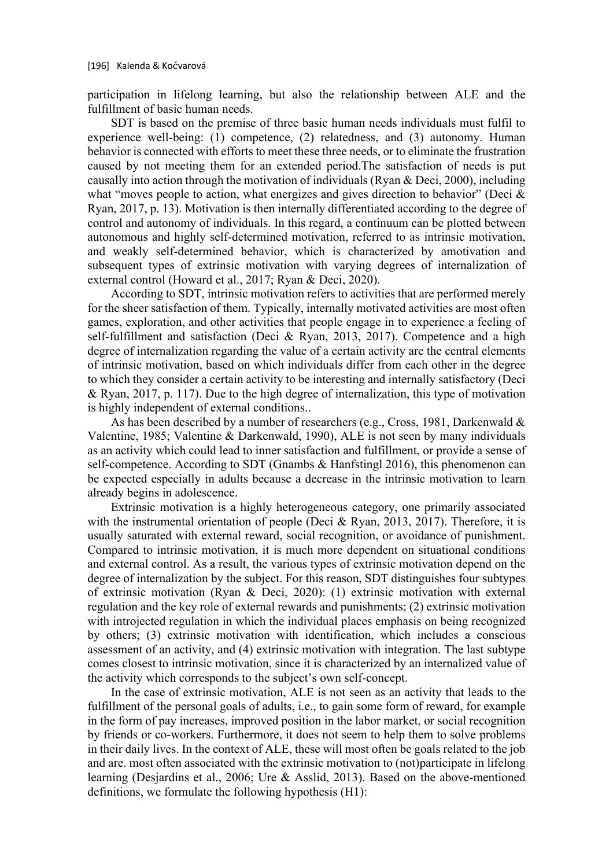participation in lifelong learning, but also the relationship between ALE and the fulfillment of basic human needs.

SDT is based on the premise of three basic human needs individuals must fulfil to experience well-being: (1) competence, (2) relatedness, and (3) autonomy. Human behavior is connected with efforts to meet these three needs, or to eliminate the frustration caused by not meeting them for an extended period.The satisfaction of needs is put causally into action through the motivation of individuals (Ryan & Deci, 2000), including what "moves people to action, what energizes and gives direction to behavior" (Deci & Ryan, 2017, p. 13). Motivation is then internally differentiated according to the degree of control and autonomy of individuals. In this regard, a continuum can be plotted between autonomous and highly self-determined motivation, referred to as intrinsic motivation, and weakly self-determined behavior, which is characterized by amotivation and subsequent types of extrinsic motivation with varying degrees of internalization of external control (Howard et al., 2017; Ryan & Deci, 2020).

According to SDT, intrinsic motivation refers to activities that are performed merely for the sheer satisfaction of them. Typically, internally motivated activities are most often games, exploration, and other activities that people engage in to experience a feeling of self-fulfillment and satisfaction (Deci & Ryan, 2013, 2017). Competence and a high degree of internalization regarding the value of a certain activity are the central elements of intrinsic motivation, based on which individuals differ from each other in the degree to which they consider a certain activity to be interesting and internally satisfactory (Deci & Ryan, 2017, p. 117). Due to the high degree of internalization, this type of motivation is highly independent of external conditions..

As has been described by a number of researchers (e.g., Cross, 1981, Darkenwald & Valentine, 1985; Valentine & Darkenwald, 1990), ALE is not seen by many individuals as an activity which could lead to inner satisfaction and fulfillment, or provide a sense of self-competence. According to SDT (Gnambs & Hanfstingl 2016), this phenomenon can be expected especially in adults because a decrease in the intrinsic motivation to learn already begins in adolescence.

Extrinsic motivation is a highly heterogeneous category, one primarily associated with the instrumental orientation of people (Deci & Ryan, 2013, 2017). Therefore, it is usually saturated with external reward, social recognition, or avoidance of punishment. Compared to intrinsic motivation, it is much more dependent on situational conditions and external control. As a result, the various types of extrinsic motivation depend on the degree of internalization by the subject. For this reason, SDT distinguishes four subtypes of extrinsic motivation (Ryan & Deci, 2020): (1) extrinsic motivation with external regulation and the key role of external rewards and punishments; (2) extrinsic motivation with introjected regulation in which the individual places emphasis on being recognized by others; (3) extrinsic motivation with identification, which includes a conscious assessment of an activity, and (4) extrinsic motivation with integration. The last subtype comes closest to intrinsic motivation, since it is characterized by an internalized value of the activity which corresponds to the subject's own self-concept.

In the case of extrinsic motivation, ALE is not seen as an activity that leads to the fulfillment of the personal goals of adults, i.e., to gain some form of reward, for example in the form of pay increases, improved position in the labor market, or social recognition by friends or co-workers. Furthermore, it does not seem to help them to solve problems in their daily lives. In the context of ALE, these will most often be goals related to the job and are. most often associated with the extrinsic motivation to (not)participate in lifelong learning (Desjardins et al., 2006; Ure & Asslid, 2013). Based on the above-mentioned definitions, we formulate the following hypothesis (H1):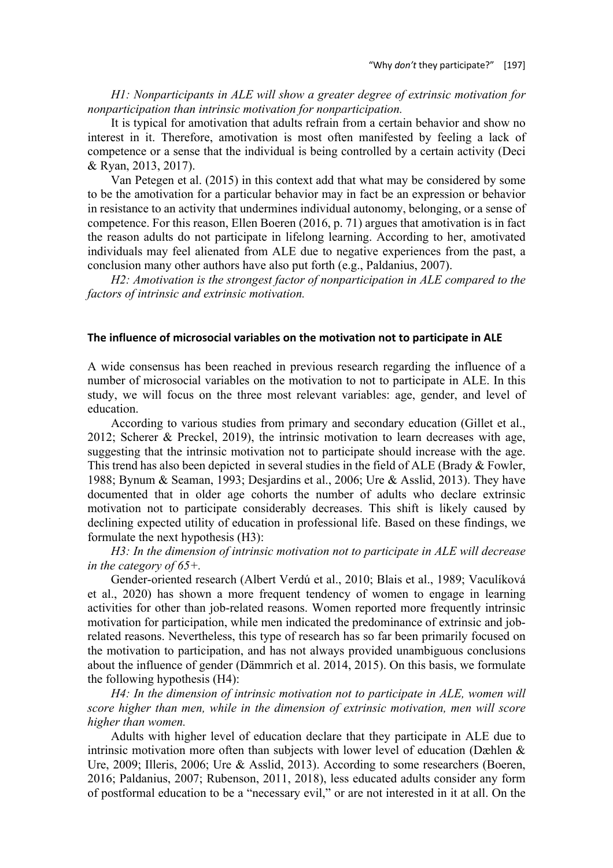*H1: Nonparticipants in ALE will show a greater degree of extrinsic motivation for nonparticipation than intrinsic motivation for nonparticipation.*

It is typical for amotivation that adults refrain from a certain behavior and show no interest in it. Therefore, amotivation is most often manifested by feeling a lack of competence or a sense that the individual is being controlled by a certain activity (Deci & Ryan, 2013, 2017).

Van Petegen et al. (2015) in this context add that what may be considered by some to be the amotivation for a particular behavior may in fact be an expression or behavior in resistance to an activity that undermines individual autonomy, belonging, or a sense of competence. For this reason, Ellen Boeren (2016, p. 71) argues that amotivation is in fact the reason adults do not participate in lifelong learning. According to her, amotivated individuals may feel alienated from ALE due to negative experiences from the past, a conclusion many other authors have also put forth (e.g., Paldanius, 2007).

*H2: Amotivation is the strongest factor of nonparticipation in ALE compared to the factors of intrinsic and extrinsic motivation.*

#### **The influence of microsocial variables on the motivation not to participate in ALE**

A wide consensus has been reached in previous research regarding the influence of a number of microsocial variables on the motivation to not to participate in ALE. In this study, we will focus on the three most relevant variables: age, gender, and level of education.

According to various studies from primary and secondary education (Gillet et al., 2012; Scherer & Preckel, 2019), the intrinsic motivation to learn decreases with age, suggesting that the intrinsic motivation not to participate should increase with the age. This trend has also been depicted in several studies in the field of ALE (Brady & Fowler, 1988; Bynum & Seaman, 1993; Desjardins et al., 2006; Ure & Asslid, 2013). They have documented that in older age cohorts the number of adults who declare extrinsic motivation not to participate considerably decreases. This shift is likely caused by declining expected utility of education in professional life. Based on these findings, we formulate the next hypothesis (H3):

*H3: In the dimension of intrinsic motivation not to participate in ALE will decrease in the category of 65+.*

Gender-oriented research (Albert Verdú et al., 2010; Blais et al., 1989; Vaculíková et al., 2020) has shown a more frequent tendency of women to engage in learning activities for other than job-related reasons. Women reported more frequently intrinsic motivation for participation, while men indicated the predominance of extrinsic and jobrelated reasons. Nevertheless, this type of research has so far been primarily focused on the motivation to participation, and has not always provided unambiguous conclusions about the influence of gender (Dämmrich et al. 2014, 2015). On this basis, we formulate the following hypothesis (H4):

*H4: In the dimension of intrinsic motivation not to participate in ALE, women will score higher than men, while in the dimension of extrinsic motivation, men will score higher than women.*

Adults with higher level of education declare that they participate in ALE due to intrinsic motivation more often than subjects with lower level of education (Dæhlen & Ure, 2009; Illeris, 2006; Ure & Asslid, 2013). According to some researchers (Boeren, 2016; Paldanius, 2007; Rubenson, 2011, 2018), less educated adults consider any form of postformal education to be a "necessary evil," or are not interested in it at all. On the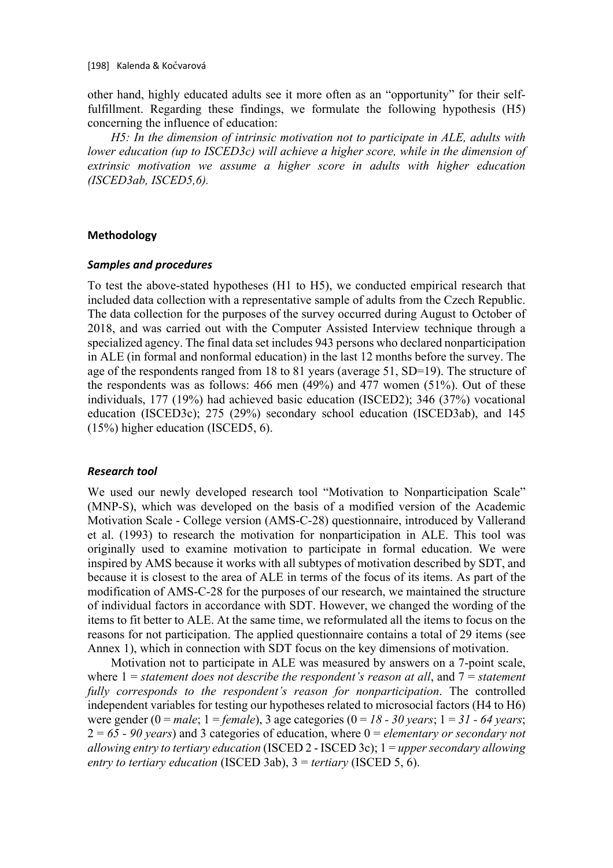other hand, highly educated adults see it more often as an "opportunity" for their selffulfillment. Regarding these findings, we formulate the following hypothesis (H5) concerning the influence of education:

*H5: In the dimension of intrinsic motivation not to participate in ALE, adults with lower education (up to ISCED3c) will achieve a higher score, while in the dimension of extrinsic motivation we assume a higher score in adults with higher education (ISCED3ab, ISCED5,6).*

## **Methodology**

## *Samples and procedures*

To test the above-stated hypotheses (H1 to H5), we conducted empirical research that included data collection with a representative sample of adults from the Czech Republic. The data collection for the purposes of the survey occurred during August to October of 2018, and was carried out with the Computer Assisted Interview technique through a specialized agency. The final data set includes 943 persons who declared nonparticipation in ALE (in formal and nonformal education) in the last 12 months before the survey. The age of the respondents ranged from 18 to 81 years (average 51, SD=19). The structure of the respondents was as follows: 466 men (49%) and 477 women (51%). Out of these individuals, 177 (19%) had achieved basic education (ISCED2); 346 (37%) vocational education (ISCED3c); 275 (29%) secondary school education (ISCED3ab), and 145 (15%) higher education (ISCED5, 6).

## *Research tool*

We used our newly developed research tool "Motivation to Nonparticipation Scale" (MNP-S), which was developed on the basis of a modified version of the Academic Motivation Scale - College version (AMS-C-28) questionnaire, introduced by Vallerand et al. (1993) to research the motivation for nonparticipation in ALE. This tool was originally used to examine motivation to participate in formal education. We were inspired by AMS because it works with all subtypes of motivation described by SDT, and because it is closest to the area of ALE in terms of the focus of its items. As part of the modification of AMS-C-28 for the purposes of our research, we maintained the structure of individual factors in accordance with SDT. However, we changed the wording of the items to fit better to ALE. At the same time, we reformulated all the items to focus on the reasons for not participation. The applied questionnaire contains a total of 29 items (see Annex 1), which in connection with SDT focus on the key dimensions of motivation.

Motivation not to participate in ALE was measured by answers on a 7-point scale, where 1 = *statement does not describe the respondent's reason at all*, and 7 = *statement fully corresponds to the respondent's reason for nonparticipation*. The controlled independent variables for testing our hypotheses related to microsocial factors (H4 to H6) were gender  $(0 = male; 1 = female)$ , 3 age categories  $(0 = 18 - 30 \text{ years}; 1 = 31 - 64 \text{ years})$ 2 = *65 - 90 years*) and 3 categories of education, where 0 = *elementary or secondary not allowing entry to tertiary education* (ISCED 2 - ISCED 3c); 1 = *upper secondary allowing entry to tertiary education* (ISCED 3ab), 3 = *tertiary* (ISCED 5, 6).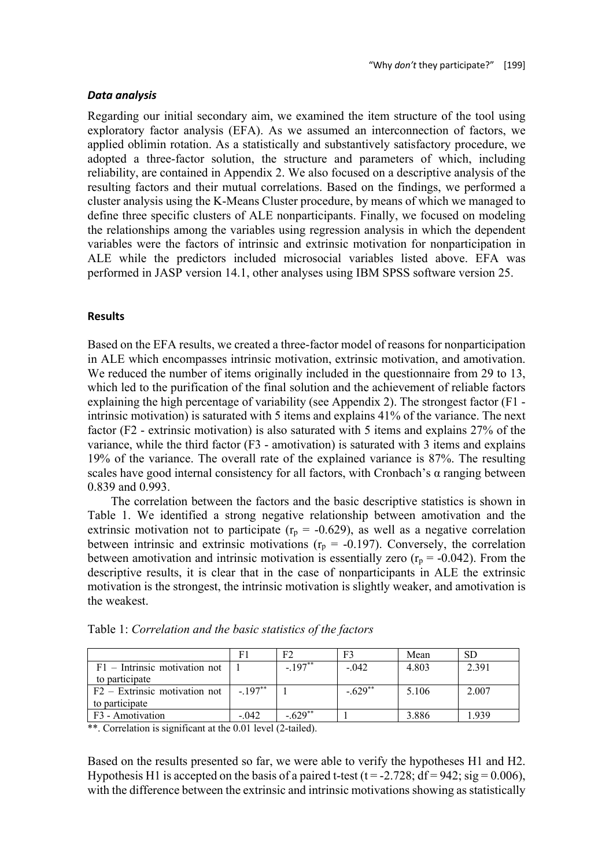## *Data analysis*

Regarding our initial secondary aim, we examined the item structure of the tool using exploratory factor analysis (EFA). As we assumed an interconnection of factors, we applied oblimin rotation. As a statistically and substantively satisfactory procedure, we adopted a three-factor solution, the structure and parameters of which, including reliability, are contained in Appendix 2. We also focused on a descriptive analysis of the resulting factors and their mutual correlations. Based on the findings, we performed a cluster analysis using the K-Means Cluster procedure, by means of which we managed to define three specific clusters of ALE nonparticipants. Finally, we focused on modeling the relationships among the variables using regression analysis in which the dependent variables were the factors of intrinsic and extrinsic motivation for nonparticipation in ALE while the predictors included microsocial variables listed above. EFA was performed in JASP version 14.1, other analyses using IBM SPSS software version 25.

### **Results**

Based on the EFA results, we created a three-factor model of reasons for nonparticipation in ALE which encompasses intrinsic motivation, extrinsic motivation, and amotivation. We reduced the number of items originally included in the questionnaire from 29 to 13, which led to the purification of the final solution and the achievement of reliable factors explaining the high percentage of variability (see Appendix 2). The strongest factor (F1 intrinsic motivation) is saturated with 5 items and explains 41% of the variance. The next factor (F2 - extrinsic motivation) is also saturated with 5 items and explains 27% of the variance, while the third factor (F3 - amotivation) is saturated with 3 items and explains 19% of the variance. The overall rate of the explained variance is 87%. The resulting scales have good internal consistency for all factors, with Cronbach's  $\alpha$  ranging between 0.839 and 0.993.

The correlation between the factors and the basic descriptive statistics is shown in Table 1. We identified a strong negative relationship between amotivation and the extrinsic motivation not to participate ( $r_p = -0.629$ ), as well as a negative correlation between intrinsic and extrinsic motivations ( $r_p = -0.197$ ). Conversely, the correlation between amotivation and intrinsic motivation is essentially zero ( $r_p = -0.042$ ). From the descriptive results, it is clear that in the case of nonparticipants in ALE the extrinsic motivation is the strongest, the intrinsic motivation is slightly weaker, and amotivation is the weakest.

|                                 | F1       | F7          | F3        | Mean  | SЕ    |
|---------------------------------|----------|-------------|-----------|-------|-------|
| $F1$ – Intrinsic motivation not |          | $-197**$    | $-.042$   | 4.803 | 2.391 |
| to participate                  |          |             |           |       |       |
| $F2 - Extrinsic$ motivation not | $-197**$ |             | $-.629**$ | 5.106 | 2.007 |
| to participate                  |          |             |           |       |       |
| F <sub>3</sub> - Amotivation    | $-.042$  | $-629^{**}$ |           | 3.886 | 1.939 |

Table 1: *Correlation and the basic statistics of the factors*

\*\*. Correlation is significant at the 0.01 level (2-tailed).

Based on the results presented so far, we were able to verify the hypotheses H1 and H2. Hypothesis H1 is accepted on the basis of a paired t-test ( $t = -2.728$ ;  $df = 942$ ;  $sig = 0.006$ ), with the difference between the extrinsic and intrinsic motivations showing as statistically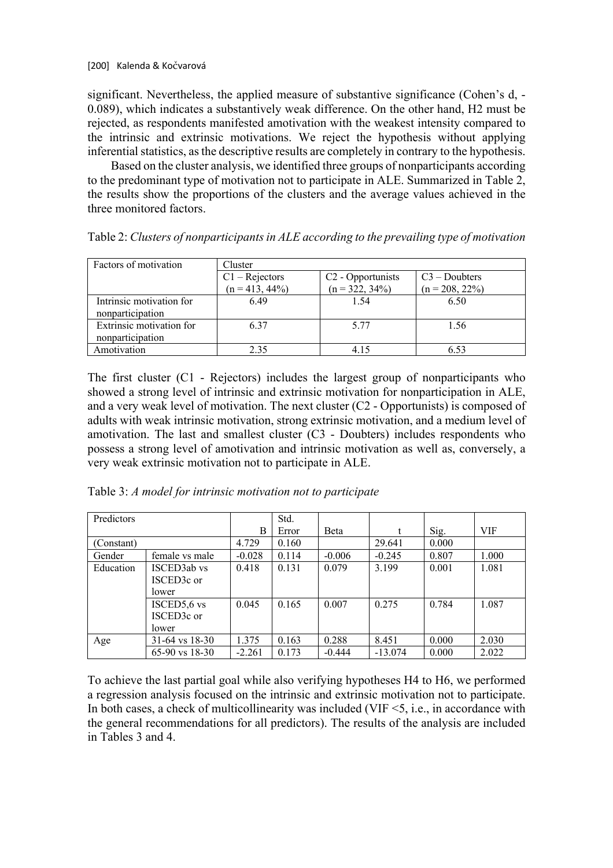significant. Nevertheless, the applied measure of substantive significance (Cohen's d, - 0.089), which indicates a substantively weak difference. On the other hand, H2 must be rejected, as respondents manifested amotivation with the weakest intensity compared to the intrinsic and extrinsic motivations. We reject the hypothesis without applying inferential statistics, asthe descriptive results are completely in contrary to the hypothesis.

Based on the cluster analysis, we identified three groups of nonparticipants according to the predominant type of motivation not to participate in ALE. Summarized in Table 2, the results show the proportions of the clusters and the average values achieved in the three monitored factors.

| Factors of motivation    | Cluster           |                               |                   |  |  |  |
|--------------------------|-------------------|-------------------------------|-------------------|--|--|--|
|                          | $C1 - Rejectors$  | C <sub>2</sub> - Opportunists | $C3 - Doubters$   |  |  |  |
|                          | $(n = 413, 44\%)$ | $(n = 322, 34\%)$             | $(n = 208, 22\%)$ |  |  |  |
| Intrinsic motivation for | 6.49              | 1.54                          | 6.50              |  |  |  |
| nonparticipation         |                   |                               |                   |  |  |  |
| Extrinsic motivation for | 6.37              | 5.77                          | 1.56              |  |  |  |
| nonparticipation         |                   |                               |                   |  |  |  |
| Amotivation              | 235               | 4 15                          |                   |  |  |  |

Table 2: *Clusters of nonparticipants in ALE according to the prevailing type of motivation*

The first cluster (C1 - Rejectors) includes the largest group of nonparticipants who showed a strong level of intrinsic and extrinsic motivation for nonparticipation in ALE, and a very weak level of motivation. The next cluster  $(C2 - Opportunists)$  is composed of adults with weak intrinsic motivation, strong extrinsic motivation, and a medium level of amotivation. The last and smallest cluster (C3 - Doubters) includes respondents who possess a strong level of amotivation and intrinsic motivation as well as, conversely, a very weak extrinsic motivation not to participate in ALE.

Table 3: *A model for intrinsic motivation not to participate*

| Predictors |                    |          | Std.  |          |           |       |       |
|------------|--------------------|----------|-------|----------|-----------|-------|-------|
|            |                    | B        | Error | Beta     |           | Sig.  | VIF   |
| (Constant) |                    | 4.729    | 0.160 |          | 29.641    | 0.000 |       |
| Gender     | female vs male     | $-0.028$ | 0.114 | $-0.006$ | $-0.245$  | 0.807 | 1.000 |
| Education  | ISCED3ab vs        | 0.418    | 0.131 | 0.079    | 3.199     | 0.001 | 1.081 |
|            | ISCED3c or         |          |       |          |           |       |       |
|            | lower              |          |       |          |           |       |       |
|            | ISCED5,6 vs        | 0.045    | 0.165 | 0.007    | 0.275     | 0.784 | 1.087 |
|            | ISCED3c or         |          |       |          |           |       |       |
|            | lower              |          |       |          |           |       |       |
| Age        | $31-64$ vs $18-30$ | 1.375    | 0.163 | 0.288    | 8.451     | 0.000 | 2.030 |
|            | $65-90$ vs $18-30$ | $-2.261$ | 0.173 | $-0.444$ | $-13.074$ | 0.000 | 2.022 |

To achieve the last partial goal while also verifying hypotheses H4 to H6, we performed a regression analysis focused on the intrinsic and extrinsic motivation not to participate. In both cases, a check of multicollinearity was included (VIF  $\leq$ 5, i.e., in accordance with the general recommendations for all predictors). The results of the analysis are included in Tables 3 and 4.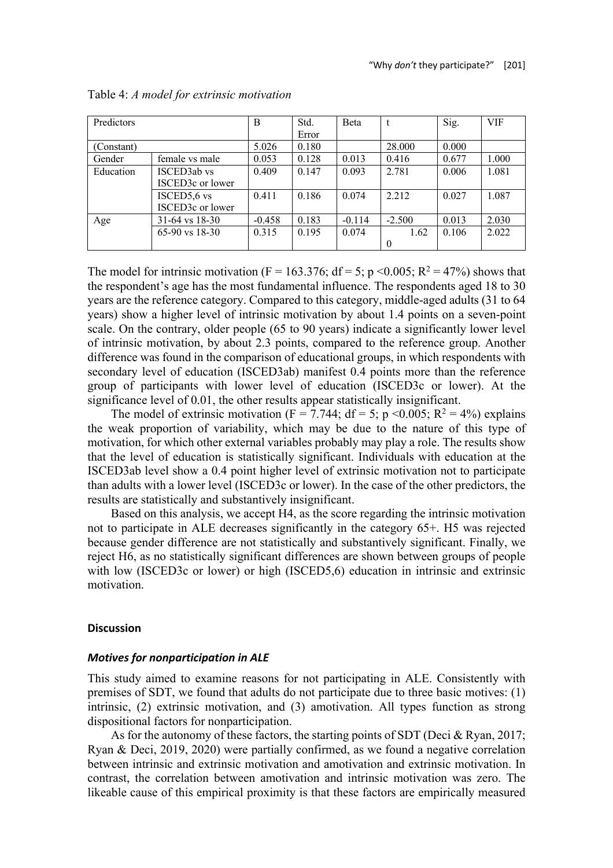| Predictors |                    | B        | Std.  | Beta     |          | Sig.  | <b>VIF</b> |
|------------|--------------------|----------|-------|----------|----------|-------|------------|
|            |                    |          | Error |          |          |       |            |
| (Constant) |                    | 5.026    | 0.180 |          | 28.000   | 0.000 |            |
| Gender     | female vs male     | 0.053    | 0.128 | 0.013    | 0.416    | 0.677 | 1.000      |
| Education  | <b>ISCED3ab</b> vs | 0.409    | 0.147 | 0.093    | 2.781    | 0.006 | 1.081      |
|            | ISCED3c or lower   |          |       |          |          |       |            |
|            | ISCED5,6 vs        | 0.411    | 0.186 | 0.074    | 2.212    | 0.027 | 1.087      |
|            | ISCED3c or lower   |          |       |          |          |       |            |
| Age        | $31-64$ vs $18-30$ | $-0.458$ | 0.183 | $-0.114$ | $-2.500$ | 0.013 | 2.030      |
|            | $65-90$ vs $18-30$ | 0.315    | 0.195 | 0.074    | 1.62     | 0.106 | 2.022      |
|            |                    |          |       |          | 0        |       |            |

#### Table 4: *A model for extrinsic motivation*

The model for intrinsic motivation (F = 163.376; df = 5; p < 0.005; R<sup>2</sup> = 47%) shows that the respondent's age has the most fundamental influence. The respondents aged 18 to 30 years are the reference category. Compared to this category, middle-aged adults (31 to 64 years) show a higher level of intrinsic motivation by about 1.4 points on a seven-point scale. On the contrary, older people (65 to 90 years) indicate a significantly lower level of intrinsic motivation, by about 2.3 points, compared to the reference group. Another difference was found in the comparison of educational groups, in which respondents with secondary level of education (ISCED3ab) manifest 0.4 points more than the reference group of participants with lower level of education (ISCED3c or lower). At the significance level of 0.01, the other results appear statistically insignificant.

The model of extrinsic motivation (F = 7.744; df = 5; p < 0.005; R<sup>2</sup> = 4%) explains the weak proportion of variability, which may be due to the nature of this type of motivation, for which other external variables probably may play a role. The results show that the level of education is statistically significant. Individuals with education at the ISCED3ab level show a 0.4 point higher level of extrinsic motivation not to participate than adults with a lower level (ISCED3c or lower). In the case of the other predictors, the results are statistically and substantively insignificant.

Based on this analysis, we accept H4, as the score regarding the intrinsic motivation not to participate in ALE decreases significantly in the category 65+. H5 was rejected because gender difference are not statistically and substantively significant. Finally, we reject H6, as no statistically significant differences are shown between groups of people with low (ISCED3c or lower) or high (ISCED5,6) education in intrinsic and extrinsic motivation.

## **Discussion**

#### *Motives for nonparticipation in ALE*

This study aimed to examine reasons for not participating in ALE. Consistently with premises of SDT, we found that adults do not participate due to three basic motives: (1) intrinsic, (2) extrinsic motivation, and (3) amotivation. All types function as strong dispositional factors for nonparticipation.

As for the autonomy of these factors, the starting points of SDT (Deci & Ryan, 2017; Ryan & Deci, 2019, 2020) were partially confirmed, as we found a negative correlation between intrinsic and extrinsic motivation and amotivation and extrinsic motivation. In contrast, the correlation between amotivation and intrinsic motivation was zero. The likeable cause of this empirical proximity is that these factors are empirically measured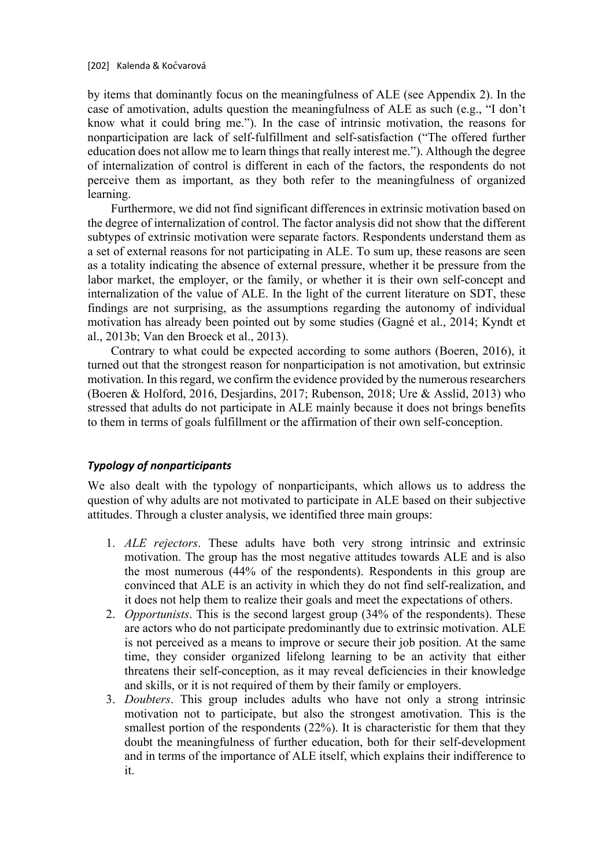by items that dominantly focus on the meaningfulness of ALE (see Appendix 2). In the case of amotivation, adults question the meaningfulness of ALE as such (e.g., "I don't know what it could bring me."). In the case of intrinsic motivation, the reasons for nonparticipation are lack of self-fulfillment and self-satisfaction ("The offered further education does not allow me to learn things that really interest me."). Although the degree of internalization of control is different in each of the factors, the respondents do not perceive them as important, as they both refer to the meaningfulness of organized learning.

Furthermore, we did not find significant differences in extrinsic motivation based on the degree of internalization of control. The factor analysis did not show that the different subtypes of extrinsic motivation were separate factors. Respondents understand them as a set of external reasons for not participating in ALE. To sum up, these reasons are seen as a totality indicating the absence of external pressure, whether it be pressure from the labor market, the employer, or the family, or whether it is their own self-concept and internalization of the value of ALE. In the light of the current literature on SDT, these findings are not surprising, as the assumptions regarding the autonomy of individual motivation has already been pointed out by some studies (Gagné et al., 2014; Kyndt et al., 2013b; Van den Broeck et al., 2013).

Contrary to what could be expected according to some authors (Boeren, 2016), it turned out that the strongest reason for nonparticipation is not amotivation, but extrinsic motivation. In this regard, we confirm the evidence provided by the numerous researchers (Boeren & Holford, 2016, Desjardins, 2017; Rubenson, 2018; Ure & Asslid, 2013) who stressed that adults do not participate in ALE mainly because it does not brings benefits to them in terms of goals fulfillment or the affirmation of their own self-conception.

# *Typology of nonparticipants*

We also dealt with the typology of nonparticipants, which allows us to address the question of why adults are not motivated to participate in ALE based on their subjective attitudes. Through a cluster analysis, we identified three main groups:

- 1. *ALE rejectors*. These adults have both very strong intrinsic and extrinsic motivation. The group has the most negative attitudes towards ALE and is also the most numerous (44% of the respondents). Respondents in this group are convinced that ALE is an activity in which they do not find self-realization, and it does not help them to realize their goals and meet the expectations of others.
- 2. *Opportunists*. This is the second largest group (34% of the respondents). These are actors who do not participate predominantly due to extrinsic motivation. ALE is not perceived as a means to improve or secure their job position. At the same time, they consider organized lifelong learning to be an activity that either threatens their self-conception, as it may reveal deficiencies in their knowledge and skills, or it is not required of them by their family or employers.
- 3. *Doubters*. This group includes adults who have not only a strong intrinsic motivation not to participate, but also the strongest amotivation. This is the smallest portion of the respondents (22%). It is characteristic for them that they doubt the meaningfulness of further education, both for their self-development and in terms of the importance of ALE itself, which explains their indifference to it.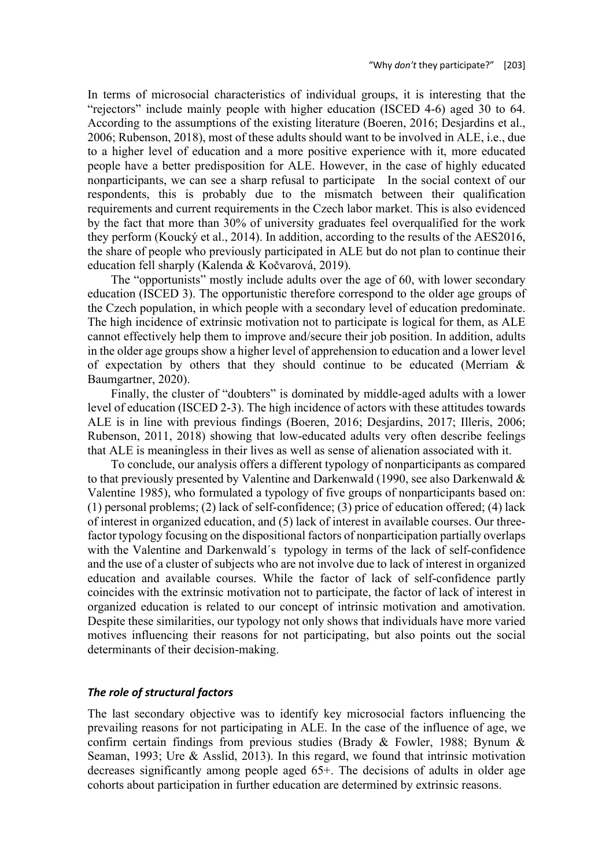In terms of microsocial characteristics of individual groups, it is interesting that the "rejectors" include mainly people with higher education (ISCED 4-6) aged 30 to 64. According to the assumptions of the existing literature (Boeren, 2016; Desjardins et al., 2006; Rubenson, 2018), most of these adults should want to be involved in ALE, i.e., due to a higher level of education and a more positive experience with it, more educated people have a better predisposition for ALE. However, in the case of highly educated nonparticipants, we can see a sharp refusal to participate In the social context of our respondents, this is probably due to the mismatch between their qualification requirements and current requirements in the Czech labor market. This is also evidenced by the fact that more than 30% of university graduates feel overqualified for the work they perform (Koucký et al., 2014). In addition, according to the results of the AES2016, the share of people who previously participated in ALE but do not plan to continue their education fell sharply (Kalenda & Kočvarová, 2019).

The "opportunists" mostly include adults over the age of 60, with lower secondary education (ISCED 3). The opportunistic therefore correspond to the older age groups of the Czech population, in which people with a secondary level of education predominate. The high incidence of extrinsic motivation not to participate is logical for them, as ALE cannot effectively help them to improve and/secure their job position. In addition, adults in the older age groups show a higher level of apprehension to education and a lower level of expectation by others that they should continue to be educated (Merriam  $\&$ Baumgartner, 2020).

Finally, the cluster of "doubters" is dominated by middle-aged adults with a lower level of education (ISCED 2-3). The high incidence of actors with these attitudes towards ALE is in line with previous findings (Boeren, 2016; Desjardins, 2017; Illeris, 2006; Rubenson, 2011, 2018) showing that low-educated adults very often describe feelings that ALE is meaningless in their lives as well as sense of alienation associated with it.

To conclude, our analysis offers a different typology of nonparticipants as compared to that previously presented by Valentine and Darkenwald (1990, see also Darkenwald & Valentine 1985), who formulated a typology of five groups of nonparticipants based on: (1) personal problems; (2) lack of self-confidence; (3) price of education offered; (4) lack of interest in organized education, and (5) lack of interest in available courses. Our threefactor typology focusing on the dispositional factors of nonparticipation partially overlaps with the Valentine and Darkenwald´s typology in terms of the lack of self-confidence and the use of a cluster of subjects who are not involve due to lack of interest in organized education and available courses. While the factor of lack of self-confidence partly coincides with the extrinsic motivation not to participate, the factor of lack of interest in organized education is related to our concept of intrinsic motivation and amotivation. Despite these similarities, our typology not only shows that individuals have more varied motives influencing their reasons for not participating, but also points out the social determinants of their decision-making.

# *The role of structural factors*

The last secondary objective was to identify key microsocial factors influencing the prevailing reasons for not participating in ALE. In the case of the influence of age, we confirm certain findings from previous studies (Brady & Fowler, 1988; Bynum & Seaman, 1993; Ure & Asslid, 2013). In this regard, we found that intrinsic motivation decreases significantly among people aged 65+. The decisions of adults in older age cohorts about participation in further education are determined by extrinsic reasons.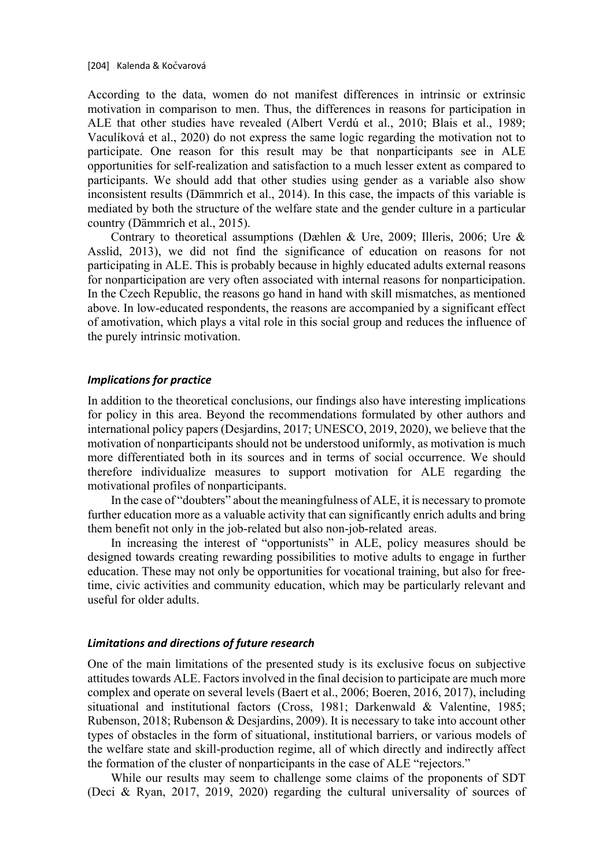According to the data, women do not manifest differences in intrinsic or extrinsic motivation in comparison to men. Thus, the differences in reasons for participation in ALE that other studies have revealed (Albert Verdú et al., 2010; Blais et al., 1989; Vaculíková et al., 2020) do not express the same logic regarding the motivation not to participate. One reason for this result may be that nonparticipants see in ALE opportunities for self-realization and satisfaction to a much lesser extent as compared to participants. We should add that other studies using gender as a variable also show inconsistent results (Dämmrich et al., 2014). In this case, the impacts of this variable is mediated by both the structure of the welfare state and the gender culture in a particular country (Dämmrich et al., 2015).

Contrary to theoretical assumptions (Dæhlen & Ure, 2009; Illeris, 2006; Ure & Asslid, 2013), we did not find the significance of education on reasons for not participating in ALE. This is probably because in highly educated adults external reasons for nonparticipation are very often associated with internal reasons for nonparticipation. In the Czech Republic, the reasons go hand in hand with skill mismatches, as mentioned above. In low-educated respondents, the reasons are accompanied by a significant effect of amotivation, which plays a vital role in this social group and reduces the influence of the purely intrinsic motivation.

## *Implications for practice*

In addition to the theoretical conclusions, our findings also have interesting implications for policy in this area. Beyond the recommendations formulated by other authors and international policy papers (Desjardins, 2017; UNESCO, 2019, 2020), we believe that the motivation of nonparticipants should not be understood uniformly, as motivation is much more differentiated both in its sources and in terms of social occurrence. We should therefore individualize measures to support motivation for ALE regarding the motivational profiles of nonparticipants.

In the case of "doubters" about the meaningfulness of ALE, it is necessary to promote further education more as a valuable activity that can significantly enrich adults and bring them benefit not only in the job-related but also non-job-related areas.

In increasing the interest of "opportunists" in ALE, policy measures should be designed towards creating rewarding possibilities to motive adults to engage in further education. These may not only be opportunities for vocational training, but also for freetime, civic activities and community education, which may be particularly relevant and useful for older adults.

## *Limitations and directions of future research*

One of the main limitations of the presented study is its exclusive focus on subjective attitudes towards ALE. Factors involved in the final decision to participate are much more complex and operate on several levels (Baert et al., 2006; Boeren, 2016, 2017), including situational and institutional factors (Cross, 1981; Darkenwald & Valentine, 1985; Rubenson, 2018; Rubenson & Desjardins, 2009). It is necessary to take into account other types of obstacles in the form of situational, institutional barriers, or various models of the welfare state and skill-production regime, all of which directly and indirectly affect the formation of the cluster of nonparticipants in the case of ALE "rejectors."

While our results may seem to challenge some claims of the proponents of SDT (Deci & Ryan, 2017, 2019, 2020) regarding the cultural universality of sources of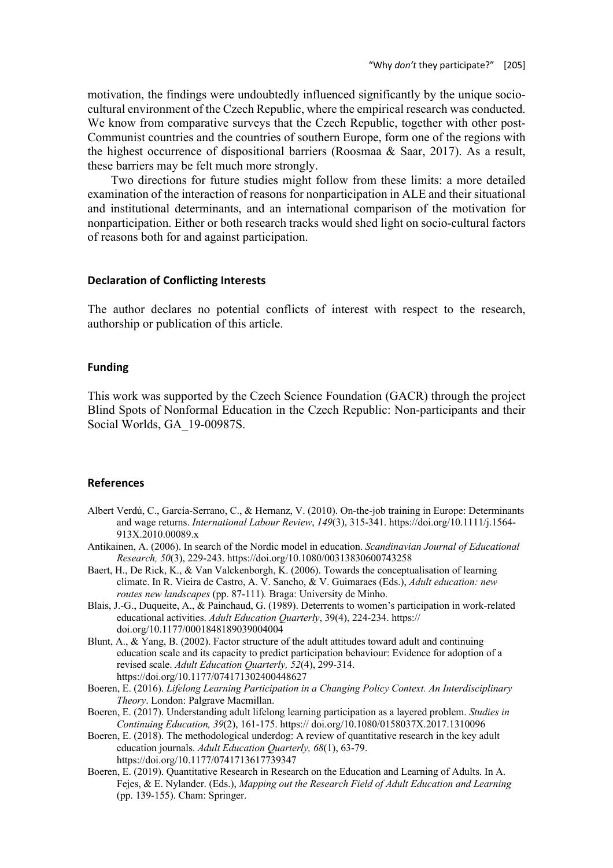motivation, the findings were undoubtedly influenced significantly by the unique sociocultural environment of the Czech Republic, where the empirical research was conducted. We know from comparative surveys that the Czech Republic, together with other post-Communist countries and the countries of southern Europe, form one of the regions with the highest occurrence of dispositional barriers (Roosmaa & Saar, 2017). As a result, these barriers may be felt much more strongly.

Two directions for future studies might follow from these limits: a more detailed examination of the interaction of reasons for nonparticipation in ALE and their situational and institutional determinants, and an international comparison of the motivation for nonparticipation. Either or both research tracks would shed light on socio-cultural factors of reasons both for and against participation.

## **Declaration of Conflicting Interests**

The author declares no potential conflicts of interest with respect to the research, authorship or publication of this article.

## **Funding**

This work was supported by the Czech Science Foundation (GACR) through the project Blind Spots of Nonformal Education in the Czech Republic: Non-participants and their Social Worlds, GA 19-00987S.

#### **References**

- Albert Verdú, C., García-Serrano, C., & Hernanz, V. (2010). On-the-job training in Europe: Determinants and wage returns. *International Labour Review*, *149*(3), 315-341. https://doi.org/10.1111/j.1564- 913X.2010.00089.x
- Antikainen, A. (2006). In search of the Nordic model in education. *Scandinavian Journal of Educational Research, 50*(3), 229-243. https://doi.org/10.1080/00313830600743258
- Baert, H., De Rick, K., & Van Valckenborgh, K. (2006). Towards the conceptualisation of learning climate. In R. Vieira de Castro, A. V. Sancho, & V. Guimaraes (Eds.), *Adult education: new routes new landscapes* (pp. 87-111)*.* Braga: University de Minho.
- Blais, J.-G., Duqueite, A., & Painchaud, G. (1989). Deterrents to women's participation in work-related educational activities. *Adult Education Quarterly*, 39(4), 224-234. https:// doi.org/10.1177/0001848189039004004
- Blunt, A., & Yang, B. (2002). Factor structure of the adult attitudes toward adult and continuing education scale and its capacity to predict participation behaviour: Evidence for adoption of a revised scale. *Adult Education Quarterly, 52*(4), 299-314. https://doi.org/10.1177/074171302400448627
- Boeren, E. (2016). *Lifelong Learning Participation in a Changing Policy Context. An Interdisciplinary Theory*. London: Palgrave Macmillan.
- Boeren, E. (2017). Understanding adult lifelong learning participation as a layered problem. *Studies in Continuing Education, 39*(2), 161-175. https:// doi.org/10.1080/0158037X.2017.1310096
- Boeren, E. (2018). The methodological underdog: A review of quantitative research in the key adult education journals. *Adult Education Quarterly, 68*(1), 63-79. https://doi.org/10.1177/0741713617739347
- Boeren, E. (2019). Quantitative Research in Research on the Education and Learning of Adults. In A. Fejes, & E. Nylander. (Eds.), *Mapping out the Research Field of Adult Education and Learning* (pp. 139-155). Cham: Springer.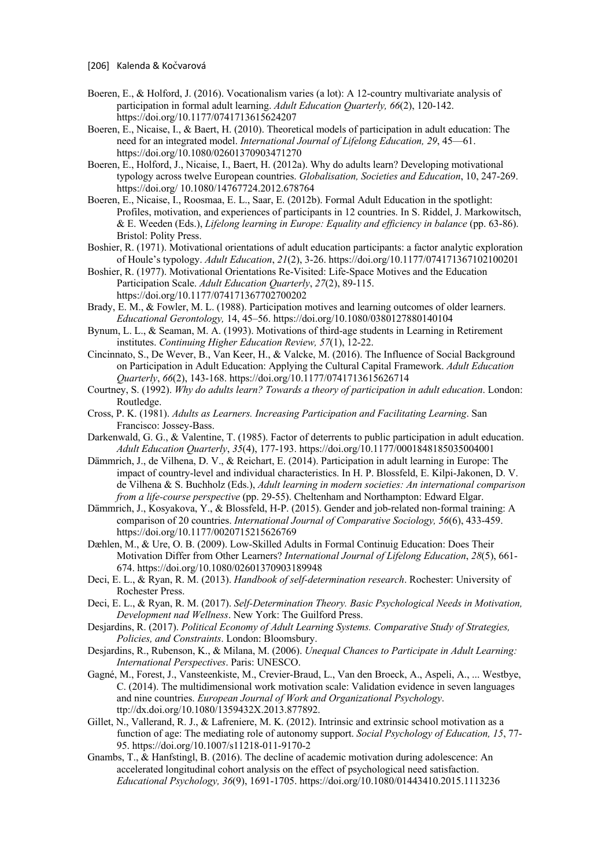- Boeren, E., & Holford, J. (2016). Vocationalism varies (a lot): A 12-country multivariate analysis of participation in formal adult learning. *Adult Education Quarterly, 66*(2), 120-142. https://doi.org/10.1177/0741713615624207
- Boeren, E., Nicaise, I., & Baert, H. (2010). Theoretical models of participation in adult education: The need for an integrated model. *International Journal of Lifelong Education, 29*, 45—61. https://doi.org/10.1080/02601370903471270
- Boeren, E., Holford, J., Nicaise, I., Baert, H. (2012a). Why do adults learn? Developing motivational typology across twelve European countries. *Globalisation, Societies and Education*, 10, 247-269. https://doi.org/ 10.1080/14767724.2012.678764
- Boeren, E., Nicaise, I., Roosmaa, E. L., Saar, E. (2012b). Formal Adult Education in the spotlight: Profiles, motivation, and experiences of participants in 12 countries. In S. Riddel, J. Markowitsch, & E. Weeden (Eds.), *Lifelong learning in Europe: Equality and efficiency in balance* (pp. 63-86). Bristol: Polity Press.
- Boshier, R. (1971). Motivational orientations of adult education participants: a factor analytic exploration of Houle's typology. *Adult Education*, *21*(2), 3-26. https://doi.org/10.1177/074171367102100201
- Boshier, R. (1977). Motivational Orientations Re-Visited: Life-Space Motives and the Education Participation Scale. *Adult Education Quarterly*, *27*(2), 89-115. https://doi.org/10.1177/074171367702700202
- Brady, E. M., & Fowler, M. L. (1988). Participation motives and learning outcomes of older learners. *Educational Gerontology,* 14, 45–56. https://doi.org/10.1080/0380127880140104
- Bynum, L. L., & Seaman, M. A. (1993). Motivations of third-age students in Learning in Retirement institutes. *Continuing Higher Education Review, 57*(1), 12-22.
- Cincinnato, S., De Wever, B., Van Keer, H., & Valcke, M. (2016). The Influence of Social Background on Participation in Adult Education: Applying the Cultural Capital Framework. *Adult Education Quarterly*, *66*(2), 143-168. https://doi.org/10.1177/0741713615626714
- Courtney, S. (1992). *Why do adults learn? Towards a theory of participation in adult education*. London: Routledge.
- Cross, P. K. (1981). *Adults as Learners. Increasing Participation and Facilitating Learning*. San Francisco: Jossey-Bass.
- Darkenwald, G. G., & Valentine, T. (1985). Factor of deterrents to public participation in adult education. *Adult Education Quarterly*, *35*(4), 177-193. https://doi.org/10.1177/0001848185035004001
- Dämmrich, J., de Vilhena, D. V., & Reichart, E. (2014). Participation in adult learning in Europe: The impact of country-level and individual characteristics. In H. P. Blossfeld, E. Kilpi-Jakonen, D. V. de Vilhena & S. Buchholz (Eds.), *Adult learning in modern societies: An international comparison from a life-course perspective* (pp. 29-55). Cheltenham and Northampton: Edward Elgar.
- Dämmrich, J., Kosyakova, Y., & Blossfeld, H-P. (2015). Gender and job-related non-formal training: A comparison of 20 countries. *International Journal of Comparative Sociology, 56*(6), 433-459. https://doi.org/10.1177/0020715215626769
- Dæhlen, M., & Ure, O. B. (2009). Low-Skilled Adults in Formal Continuig Education: Does Their Motivation Differ from Other Learners? *International Journal of Lifelong Education*, *28*(5), 661- 674. https://doi.org/10.1080/02601370903189948
- Deci, E. L., & Ryan, R. M. (2013). *Handbook of self-determination research*. Rochester: University of Rochester Press.
- Deci, E. L., & Ryan, R. M. (2017). *Self-Determination Theory. Basic Psychological Needs in Motivation, Development nad Wellness*. New York: The Guilford Press.
- Desjardins, R. (2017). *Political Economy of Adult Learning Systems. Comparative Study of Strategies, Policies, and Constraints*. London: Bloomsbury.
- Desjardins, R., Rubenson, K., & Milana, M. (2006). *Unequal Chances to Participate in Adult Learning: International Perspectives*. Paris: UNESCO.
- Gagné, M., Forest, J., Vansteenkiste, M., Crevier-Braud, L., Van den Broeck, A., Aspeli, A., ... Westbye, C. (2014). The multidimensional work motivation scale: Validation evidence in seven languages and nine countries. *European Journal of Work and Organizational Psychology*. ttp://dx.doi.org/10.1080/1359432X.2013.877892.
- Gillet, N., Vallerand, R. J., & Lafreniere, M. K. (2012). Intrinsic and extrinsic school motivation as a function of age: The mediating role of autonomy support. *Social Psychology of Education, 15*, 77- 95. https://doi.org/10.1007/s11218-011-9170-2
- Gnambs, T., & Hanfstingl, B. (2016). The decline of academic motivation during adolescence: An accelerated longitudinal cohort analysis on the effect of psychological need satisfaction. *Educational Psychology, 36*(9), 1691-1705. https://doi.org/10.1080/01443410.2015.1113236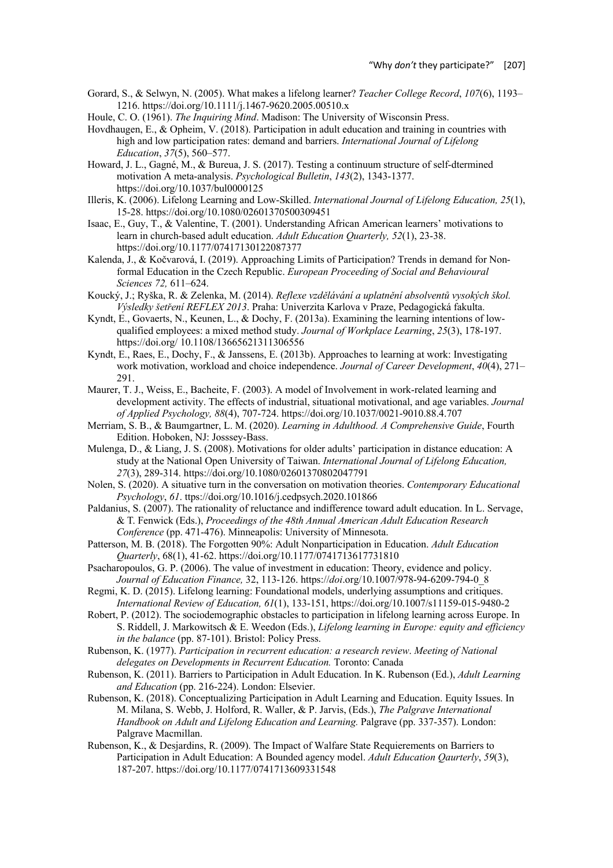- Gorard, S., & Selwyn, N. (2005). What makes a lifelong learner? *Teacher College Record*, *107*(6), 1193– 1216. https://doi.org/10.1111/j.1467-9620.2005.00510.x
- Houle, C. O. (1961). *The Inquiring Mind*. Madison: The University of Wisconsin Press.
- Hovdhaugen, E., & Opheim, V. (2018). Participation in adult education and training in countries with high and low participation rates: demand and barriers. *International Journal of Lifelong Education*, *37*(5), 560–577.
- Howard, J. L., Gagné, M., & Bureua, J. S. (2017). Testing a continuum structure of self-dtermined motivation A meta-analysis. *Psychological Bulletin*, *143*(2), 1343-1377. https://doi.org/10.1037/bul0000125
- Illeris, K. (2006). Lifelong Learning and Low-Skilled. *International Journal of Lifelong Education, 25*(1), 15-28. https://doi.org/10.1080/02601370500309451
- Isaac, E., Guy, T., & Valentine, T. (2001). Understanding African American learners' motivations to learn in church-based adult education. *Adult Education Quarterly, 52*(1), 23-38. https://doi.org/10.1177/07417130122087377
- Kalenda, J., & Kočvarová, I. (2019). Approaching Limits of Participation? Trends in demand for Nonformal Education in the Czech Republic. *European Proceeding of Social and Behavioural Sciences 72,* 611–624.
- Koucký, J.; Ryška, R. & Zelenka, M. (2014). *Reflexe vzdělávání a uplatnění absolventů vysokých škol. Výsledky šetření REFLEX 2013*. Praha: Univerzita Karlova v Praze, Pedagogická fakulta.
- Kyndt, E., Govaerts, N., Keunen, L., & Dochy, F. (2013a). Examining the learning intentions of lowqualified employees: a mixed method study. *Journal of Workplace Learning*, *25*(3), 178-197. https://doi.org/ 10.1108/13665621311306556
- Kyndt, E., Raes, E., Dochy, F., & Janssens, E. (2013b). Approaches to learning at work: Investigating work motivation, workload and choice independence. *Journal of Career Development*, *40*(4), 271– 291.
- Maurer, T. J., Weiss, E., Bacheite, F. (2003). A model of Involvement in work-related learning and development activity. The effects of industrial, situational motivational, and age variables. *Journal of Applied Psychology, 88*(4), 707-724. https://doi.org/10.1037/0021-9010.88.4.707
- Merriam, S. B., & Baumgartner, L. M. (2020). *Learning in Adulthood. A Comprehensive Guide*, Fourth Edition. Hoboken, NJ: Josssey-Bass.
- Mulenga, D., & Liang, J. S. (2008). Motivations for older adults' participation in distance education: A study at the National Open University of Taiwan. *International Journal of Lifelong Education, 27*(3), 289-314. https://doi.org/10.1080/02601370802047791
- Nolen, S. (2020). A situative turn in the conversation on motivation theories. *Contemporary Educational Psychology*, *61*. ttps://doi.org/10.1016/j.cedpsych.2020.101866
- Paldanius, S. (2007). The rationality of reluctance and indifference toward adult education. In L. Servage, & T. Fenwick (Eds.), *Proceedings of the 48th Annual American Adult Education Research Conference* (pp. 471-476). Minneapolis: University of Minnesota.
- Patterson, M. B. (2018). The Forgotten 90%: Adult Nonparticipation in Education. *Adult Education Quarterly*, 68(1), 41-62. https://doi.org/10.1177/0741713617731810
- Psacharopoulos, G. P. (2006). The value of investment in education: Theory, evidence and policy. *Journal of Education Finance,* 32, 113-126. https://*doi*.org/10.1007/978-94-6209-794-0\_8
- Regmi, K. D. (2015). Lifelong learning: Foundational models, underlying assumptions and critiques. *International Review of Education, 61*(1), 133-151, https://doi.org/10.1007/s11159-015-9480-2
- Robert, P. (2012). The sociodemographic obstacles to participation in lifelong learning across Europe. In S. Riddell, J. Markowitsch & E. Weedon (Eds.), *Lifelong learning in Europe: equity and efficiency in the balance* (pp. 87-101). Bristol: Policy Press.
- Rubenson, K. (1977). *Participation in recurrent education: a research review*. *Meeting of National delegates on Developments in Recurrent Education.* Toronto: Canada
- Rubenson, K. (2011). Barriers to Participation in Adult Education. In K. Rubenson (Ed.), *Adult Learning and Education* (pp. 216-224). London: Elsevier.
- Rubenson, K. (2018). Conceptualizing Participation in Adult Learning and Education. Equity Issues. In M. Milana, S. Webb, J. Holford, R. Waller, & P. Jarvis, (Eds.), *The Palgrave International Handbook on Adult and Lifelong Education and Learning.* Palgrave (pp. 337-357). London: Palgrave Macmillan.
- Rubenson, K., & Desjardins, R. (2009). The Impact of Walfare State Requierements on Barriers to Participation in Adult Education: A Bounded agency model. *Adult Education Qaurterly*, *59*(3), 187-207. https://doi.org/10.1177/0741713609331548